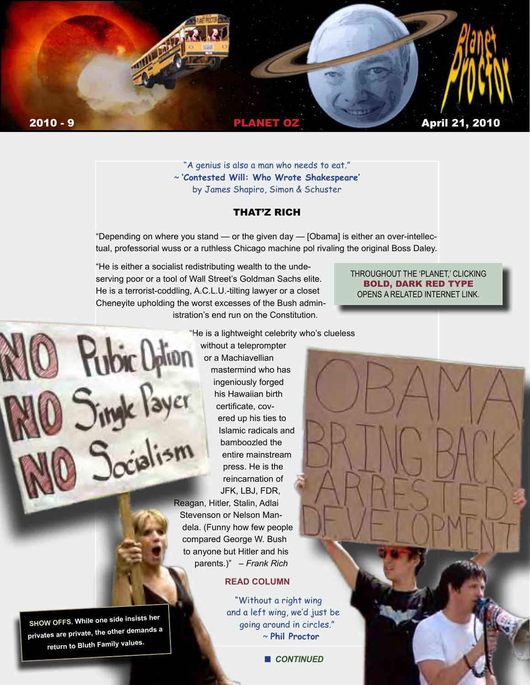

"A genius is also a man who needs to eat." ~ **'Contested Will: Who Wrote Shakespeare'** by James Shapiro, Simon & Schuster

#### THAT'Z RICH

"Depending on where you stand — or the given day — [Obama] is either an over-intellectual, professorial wuss or a ruthless Chicago machine pol rivaling the original Boss Daley.

"He is either a socialist redistributing wealth to the undeserving poor or a tool of Wall Street's Goldman Sachs elite. He is a terrorist-coddling, A.C.L.U.-tilting lawyer or a closet Cheneyite upholding the worst excesses of the Bush administration's end run on the Constitution.

**Pubic Option** 

#### THROUGHOUT THE 'PLANET,' CLICKING BOLD, DARK RED TYPE OPENS A RELATED INTERNET LINK.

"He is a lightweight celebrity who's clueless

without a teleprompter or a Machiavellian mastermind who has Singk Payer ingeniously forged his Hawaiian birth certificate, covered up his ties to Islamic radicals and bamboozled the entire mainstream press. He is the reincarnation of JFK, LBJ, FDR,

> Reagan, Hitler, Stalin, Adlai Stevenson or Nelson Mandela. (Funny how few people compared George W. Bush to anyone but Hitler and his parents.)" *– Frank Rich*

### **[READ COLUMN](http://www.nytimes.com/2010/04/04/opinion/04rich.html?th&emc=th)**

"Without a right wing and a left wing, we'd just be going around in circles." ~ **Phil Proctor**

**n** *CONTINUED* 

**SHOW OFFS. While one side insists her privates are private, the other demands a return to Bluth Family values.**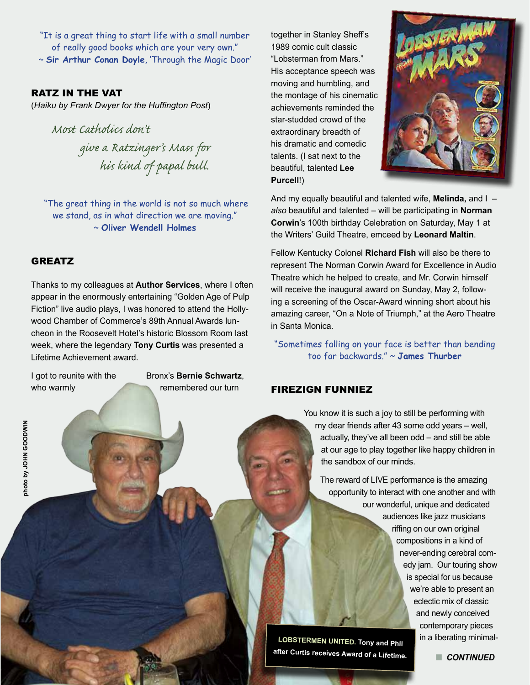"It is a great thing to start life with a small number of really good books which are your very own." ~ **Sir Arthur Conan Doyle**, 'Through the Magic Door'

### RATZ IN THE VAT

(*Haiku by Frank Dwyer for the Huffington Post*)

*Most Catholics don't give a Ratzinger's Mass for his kind of papal bull.*

 "The great thing in the world is not so much where we stand, as in what direction we are moving." ~ **Oliver Wendell Holmes**

#### GREATZ

Thanks to my colleagues at **Author Services**, where I often appear in the enormously entertaining "Golden Age of Pulp Fiction" live audio plays, I was honored to attend the Hollywood Chamber of Commerce's 89th Annual Awards luncheon in the Roosevelt Hotel's historic Blossom Room last week, where the legendary **Tony Curtis** was presented a Lifetime Achievement award.

**photo by JOHN GOODWIN**

MIWGOOD MHOL yd obor

I got to reunite with the Bronx's **Bernie Schwartz**, who warmly remembered our turn

together in Stanley Sheff's 1989 comic cult classic "Lobsterman from Mars." His acceptance speech was moving and humbling, and the montage of his cinematic achievements reminded the star-studded crowd of the extraordinary breadth of his dramatic and comedic talents. (I sat next to the beautiful, talented **Lee Purcell**!)



And my equally beautiful and talented wife, **Melinda,** and I – *also* beautiful and talented – will be participating in **Norman Corwin**'s 100th birthday Celebration on Saturday, May 1 at the Writers' Guild Theatre, emceed by **Leonard Maltin**.

Fellow Kentucky Colonel **Richard Fish** will also be there to represent The Norman Corwin Award for Excellence in Audio Theatre which he helped to create, and Mr. Corwin himself will receive the inaugural award on Sunday, May 2, following a screening of the Oscar-Award winning short about his amazing career, "On a Note of Triumph," at the Aero Theatre in Santa Monica.

"Sometimes falling on your face is better than bending too far backwards." ~ **James Thurber**

### FIREZIGN FUNNIEZ

You know it is such a joy to still be performing with my dear friends after 43 some odd years – well, actually, they've all been odd – and still be able at our age to play together like happy children in the sandbox of our minds.

The reward of LIVE performance is the amazing opportunity to interact with one another and with our wonderful, unique and dedicated audiences like jazz musicians riffing on our own original compositions in a kind of never-ending cerebral comedy jam. Our touring show is special for us because we're able to present an eclectic mix of classic and newly conceived contemporary pieces in a liberating minimal-

**LOBSTERMEN UNITED. Tony and Phil after Curtis receives Award of a Lifetime.** 

**n** CONTINUED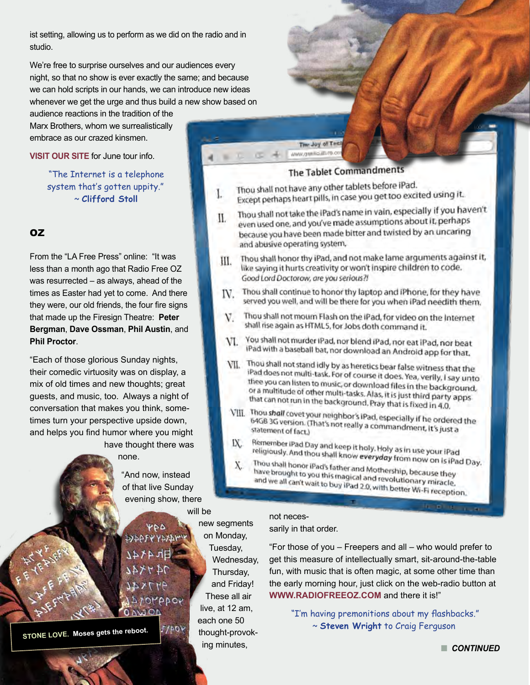ist setting, allowing us to perform as we did on the radio and in studio.

We're free to surprise ourselves and our audiences every night, so that no show is ever exactly the same; and because we can hold scripts in our hands, we can introduce new ideas whenever we get the urge and thus build a new show based on

audience reactions in the tradition of the Marx Brothers, whom we surrealistically embrace as our crazed kinsmen.

**[VISIT OUR SITE](http://www.FiresignTheatre)** for June tour info.

 "The Internet is a telephone system that's gotten uppity." ~ **Clifford Stoll**

# OZ

From the "LA Free Press" online: "It was less than a month ago that Radio Free OZ was resurrected – as always, ahead of the times as Easter had yet to come. And there they were, our old friends, the four fire signs that made up the Firesign Theatre: **Peter Bergman**, **Dave Ossman**, **Phil Austin**, and **Phil Proctor**.

"Each of those glorious Sunday nights, their comedic virtuosity was on display, a mix of old times and new thoughts; great guests, and music, too. Always a night of conversation that makes you think, sometimes turn your perspective upside down, and helps you find humor where you might have thought there was

## none.

"And now, instead of that live Sunday evening show, there

will be

**VDD PAPPEAAA** OMADOY

**J**/pov

**STONE LOVE. Moses gets the reboot.**

new segments on Monday, Tuesday, Wednesday, Thursday, and Friday! These all air live, at 12 am, each one 50 thought-provoking minutes,

iPad does not multi-task. For of course it does. Yea, verily, I say unto thee you can listen to music, or download files in the background. or a multitude of other multi-tasks. Alas, it is just third party apps<br>that can not run in the background. Pray third party apps that can not run in the background. Pray that is fixed in 4.0.

shall rise again as HTML5, for Jobs doth command it.

The Joy of Test

Thou shall not have any other tablets before iPad.

**The Tablet Commandments** 

Thou shall not have any other tables before his best and it.<br>Except perhaps heart pills, in case you get too excited using it.

even used one, and you've made assumptions about it, perhaps because you have been made bitter and twisted by an uncaring

like saying it hurts creativity or won't inspire children to code.

VI. You shall not murder IPad, nor blend iPad, nor eat IPad, nor beat iPad with a baseball bat, nor download an Android app for that.

VII. Thou shall not stand idly by as heretics bear false witness that the

Thou shall not take the IPad's name in vain, especially if you haven't

Thou shall honor thy iPad, and not make lame arguments against it,

Thou shall continue to honor thy laptop and iPhone, for they have

served you well, and will be there for you when iPad needith them. Thou shall not mourn Flash on the iPad, for video on the Internet

 $\frac{1}{2}$   $\frac{1}{2}$   $\frac{1}{2}$   $\frac{1}{2}$   $\frac{1}{2}$   $\frac{1}{2}$   $\frac{1}{2}$   $\frac{1}{2}$   $\frac{1}{2}$   $\frac{1}{2}$   $\frac{1}{2}$   $\frac{1}{2}$   $\frac{1}{2}$   $\frac{1}{2}$   $\frac{1}{2}$   $\frac{1}{2}$   $\frac{1}{2}$   $\frac{1}{2}$   $\frac{1}{2}$   $\frac{1}{2}$   $\frac{1}{2}$   $\frac{1}{2}$ 

and abusive operating system.

Good Lord Doctorow, are you serious?!

L

Ш.

Ш.

IV.

V.

- VIII. Thou shall covet your neighbor's iPad, especially if he ordered the 64GB 3G version. (That's not really a commandment, it's just a<br>statement of fact.) statement of fact.)
- Remember iPad Day and keep it holy. Holy as in use your iPad<br>religiously. And thou shall know everyday from now IX. religiously. And thou shall know everyday from now on is iPad<br>Thou shall honor iPad's father and the common own is iPad Day.
	- Thou shall honor iPad's father and Mothership, because they<br>have brought to you this magical and revolution have brought to you this magical and revolutionary miracle,<br>and we all can't wait to buy iPad 2.0 with bottomary miracle. and we all can't wait to buy iPad 2.0, with better Wi-Fi reception.

#### not necessarily in that order.

"For those of you – Freepers and all – who would prefer to get this measure of intellectually smart, sit-around-the-table fun, with music that is often magic, at some other time than the early morning hour, just click on the web-radio button at **[WWW.RADIOFREEOZ.COM](http://www.radiofreeoz.com)** and there it is!"

**Limited** 

 "I'm having premonitions about my flashbacks." ~ **Steven Wright** to Craig Ferguson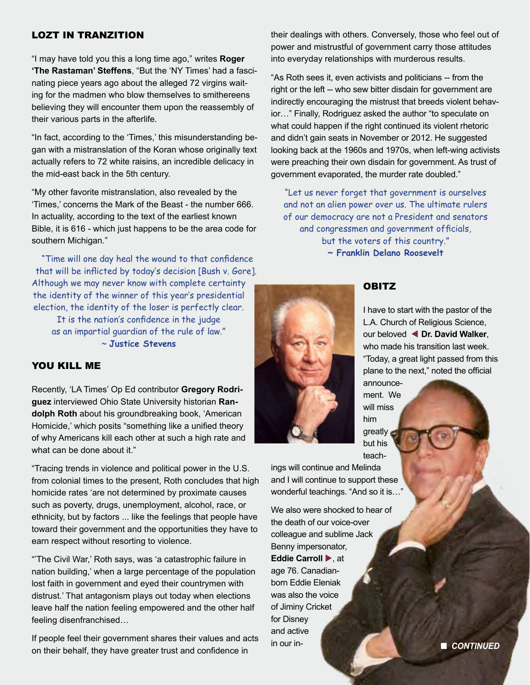## LOZT IN TRANZITION

"I may have told you this a long time ago," writes **Roger 'The Rastaman' Steffens**, "But the 'NY Times' had a fascinating piece years ago about the alleged 72 virgins waiting for the madmen who blow themselves to smithereens believing they will encounter them upon the reassembly of their various parts in the afterlife.

"In fact, according to the 'Times,' this misunderstanding began with a mistranslation of the Koran whose originally text actually refers to 72 white raisins, an incredible delicacy in the mid-east back in the 5th century.

"My other favorite mistranslation, also revealed by the 'Times,' concerns the Mark of the Beast - the number 666. In actuality, according to the text of the earliest known Bible, it is 616 - which just happens to be the area code for southern Michigan."

 "Time will one day heal the wound to that confidence that will be inflicted by today's decision [Bush v. Gore]. Although we may never know with complete certainty the identity of the winner of this year's presidential election, the identity of the loser is perfectly clear.

It is the nation's confidence in the judge as an impartial guardian of the rule of law." ~ **Justice Stevens**

#### YOU KILL ME

Recently, 'LA Times' Op Ed contributor **Gregory Rodriguez** interviewed Ohio State University historian **Randolph Roth** about his groundbreaking book, 'American Homicide,' which posits "something like a unified theory of why Americans kill each other at such a high rate and what can be done about it."

"Tracing trends in violence and political power in the U.S. from colonial times to the present, Roth concludes that high homicide rates 'are not determined by proximate causes such as poverty, drugs, unemployment, alcohol, race, or ethnicity, but by factors ... like the feelings that people have toward their government and the opportunities they have to earn respect without resorting to violence.

"'The Civil War,' Roth says, was 'a catastrophic failure in nation building,' when a large percentage of the population lost faith in government and eyed their countrymen with distrust.' That antagonism plays out today when elections leave half the nation feeling empowered and the other half feeling disenfranchised…

If people feel their government shares their values and acts on their behalf, they have greater trust and confidence in

their dealings with others. Conversely, those who feel out of power and mistrustful of government carry those attitudes into everyday relationships with murderous results.

"As Roth sees it, even activists and politicians -- from the right or the left -- who sew bitter disdain for government are indirectly encouraging the mistrust that breeds violent behavior…" Finally, Rodriguez asked the author "to speculate on what could happen if the right continued its violent rhetoric and didn't gain seats in November or 2012. He suggested looking back at the 1960s and 1970s, when left-wing activists were preaching their own disdain for government. As trust of government evaporated, the murder rate doubled."

"Let us never forget that government is ourselves and not an alien power over us. The ultimate rulers of our democracy are not a President and senators and congressmen and government officials, but the voters of this country." **~ Franklin Delano Roosevelt**



#### **OBITZ**

I have to start with the pastor of the L.A. Church of Religious Science, our beloved **In. David Walker**, who made his transition last week. "Today, a great light passed from this plane to the next," noted the official

announcement. We will miss him greatly but his teach-

ings will continue and Melinda and I will continue to support these wonderful teachings. "And so it is…"

We also were shocked to hear of the death of our voice-over colleague and sublime Jack Benny impersonator, Eddie Carroll  $\blacktriangleright$ , at age 76. Canadianborn Eddie Eleniak was also the voice of Jiminy Cricket for Disney and active in our in- n *CONTINUED*